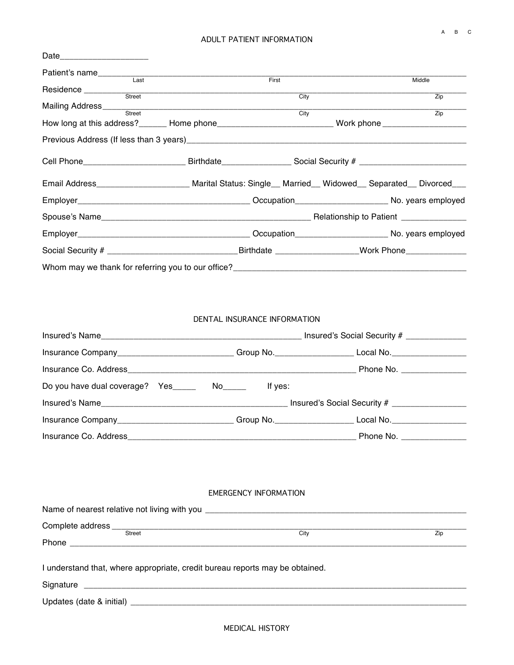## ADULT PATIENT INFORMATION

| Patient's name<br>Last                                                                                         |                                                                                                                |  |  |                  |
|----------------------------------------------------------------------------------------------------------------|----------------------------------------------------------------------------------------------------------------|--|--|------------------|
|                                                                                                                | First                                                                                                          |  |  | Middle           |
|                                                                                                                | City                                                                                                           |  |  | Zip              |
|                                                                                                                |                                                                                                                |  |  |                  |
| Mailing Address <b>Container Street</b> Street                                                                 | City                                                                                                           |  |  | $\overline{Zip}$ |
|                                                                                                                | How long at this address?_______ Home phone_______________________________ Work phone ________________________ |  |  |                  |
|                                                                                                                |                                                                                                                |  |  |                  |
| Cell Phone____________________________Birthdate__________________Social Security # ___________________________ |                                                                                                                |  |  |                  |
| Email Address_______________________ Marital Status: Single__ Married__ Widowed__ Separated__ Divorced___      |                                                                                                                |  |  |                  |
|                                                                                                                |                                                                                                                |  |  |                  |
|                                                                                                                |                                                                                                                |  |  |                  |
|                                                                                                                |                                                                                                                |  |  |                  |
|                                                                                                                |                                                                                                                |  |  |                  |
|                                                                                                                |                                                                                                                |  |  |                  |

## DENTAL INSURANCE INFORMATION

| Insured's Name                                   |                                                                                  |                          |  |
|--------------------------------------------------|----------------------------------------------------------------------------------|--------------------------|--|
|                                                  | Group No. ____________________________ Local No. _______________________________ |                          |  |
|                                                  |                                                                                  | Phone No. _____________  |  |
| Do you have dual coverage? Yes ________ No______ | If yes:                                                                          |                          |  |
|                                                  |                                                                                  |                          |  |
|                                                  |                                                                                  |                          |  |
|                                                  |                                                                                  | Phone No. ______________ |  |

## EMERGENCY INFORMATION

| Street                                                                       | City | Zip |  |  |  |  |
|------------------------------------------------------------------------------|------|-----|--|--|--|--|
|                                                                              |      |     |  |  |  |  |
|                                                                              |      |     |  |  |  |  |
| I understand that, where appropriate, credit bureau reports may be obtained. |      |     |  |  |  |  |
|                                                                              |      |     |  |  |  |  |
|                                                                              |      |     |  |  |  |  |